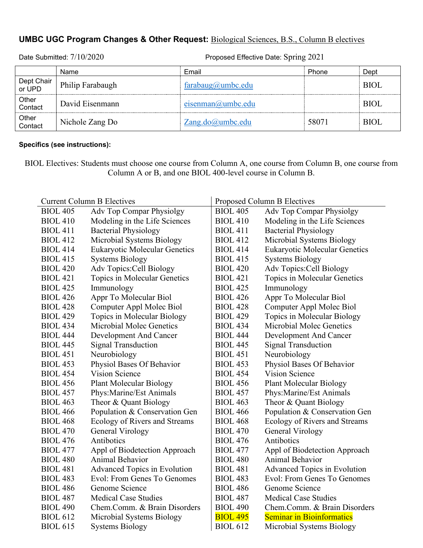## **UMBC UGC Program Changes & Other Request:** Biological Sciences, B.S., Column B electives

|                      | Name             | Email                  | Phone | Dept        |
|----------------------|------------------|------------------------|-------|-------------|
| Dept Chair<br>or UPD | Philip Farabaugh | $farabaug(a)$ umbc.edu |       | RIOL.       |
| Other<br>Contact     | David Eisenmann  | $eisenman(a)$ umbc.edu |       | <b>BIOL</b> |
| Other<br>Contact     | Nichole Zang Do  | $Zang.doc(a)$ umbc.edu | 58071 | <b>BIOL</b> |

Date Submitted:  $7/10/2020$  Proposed Effective Date: Spring 2021

## **Specifics (see instructions):**

BIOL Electives: Students must choose one course from Column A, one course from Column B, one course from Column A or B, and one BIOL 400-level course in Column B.

| <b>Current Column B Electives</b> |                                      | Proposed Column B Electives |                                      |  |
|-----------------------------------|--------------------------------------|-----------------------------|--------------------------------------|--|
| <b>BIOL 405</b>                   | Adv Top Compar Physiolgy             | <b>BIOL 405</b>             | Adv Top Compar Physiolgy             |  |
| <b>BIOL 410</b>                   | Modeling in the Life Sciences        | <b>BIOL 410</b>             | Modeling in the Life Sciences        |  |
| <b>BIOL 411</b>                   | <b>Bacterial Physiology</b>          | <b>BIOL 411</b>             | <b>Bacterial Physiology</b>          |  |
| <b>BIOL 412</b>                   | Microbial Systems Biology            | <b>BIOL 412</b>             | Microbial Systems Biology            |  |
| <b>BIOL 414</b>                   | <b>Eukaryotic Molecular Genetics</b> | <b>BIOL 414</b>             | <b>Eukaryotic Molecular Genetics</b> |  |
| <b>BIOL 415</b>                   | <b>Systems Biology</b>               | <b>BIOL 415</b>             | <b>Systems Biology</b>               |  |
| <b>BIOL 420</b>                   | Adv Topics: Cell Biology             | <b>BIOL 420</b>             | Adv Topics: Cell Biology             |  |
| <b>BIOL 421</b>                   | Topics in Molecular Genetics         | <b>BIOL 421</b>             | Topics in Molecular Genetics         |  |
| <b>BIOL 425</b>                   | Immunology                           | <b>BIOL 425</b>             | Immunology                           |  |
| <b>BIOL 426</b>                   | Appr To Molecular Biol               | <b>BIOL 426</b>             | Appr To Molecular Biol               |  |
| <b>BIOL 428</b>                   | Computer Appl Molec Biol             | <b>BIOL 428</b>             | Computer Appl Molec Biol             |  |
| <b>BIOL 429</b>                   | Topics in Molecular Biology          | <b>BIOL 429</b>             | Topics in Molecular Biology          |  |
| <b>BIOL 434</b>                   | Microbial Molec Genetics             | <b>BIOL 434</b>             | Microbial Molec Genetics             |  |
| <b>BIOL 444</b>                   | Development And Cancer               | <b>BIOL 444</b>             | Development And Cancer               |  |
| <b>BIOL 445</b>                   | <b>Signal Transduction</b>           | <b>BIOL 445</b>             | <b>Signal Transduction</b>           |  |
| <b>BIOL 451</b>                   | Neurobiology                         | <b>BIOL 451</b>             | Neurobiology                         |  |
| <b>BIOL 453</b>                   | Physiol Bases Of Behavior            | <b>BIOL 453</b>             | Physiol Bases Of Behavior            |  |
| <b>BIOL 454</b>                   | Vision Science                       | <b>BIOL 454</b>             | Vision Science                       |  |
| <b>BIOL 456</b>                   | <b>Plant Molecular Biology</b>       | <b>BIOL 456</b>             | <b>Plant Molecular Biology</b>       |  |
| <b>BIOL 457</b>                   | Phys: Marine/Est Animals             | <b>BIOL 457</b>             | Phys: Marine/Est Animals             |  |
| <b>BIOL 463</b>                   | Theor & Quant Biology                | <b>BIOL 463</b>             | Theor & Quant Biology                |  |
| <b>BIOL 466</b>                   | Population & Conservation Gen        | <b>BIOL 466</b>             | Population & Conservation Gen        |  |
| <b>BIOL 468</b>                   | Ecology of Rivers and Streams        | <b>BIOL 468</b>             | Ecology of Rivers and Streams        |  |
| <b>BIOL 470</b>                   | <b>General Virology</b>              | <b>BIOL 470</b>             | General Virology                     |  |
| <b>BIOL 476</b>                   | Antibotics                           | <b>BIOL 476</b>             | Antibotics                           |  |
| <b>BIOL 477</b>                   | Appl of Biodetection Approach        | <b>BIOL 477</b>             | Appl of Biodetection Approach        |  |
| <b>BIOL 480</b>                   | Animal Behavior                      | <b>BIOL 480</b>             | Animal Behavior                      |  |
| <b>BIOL 481</b>                   | Advanced Topics in Evolution         | <b>BIOL 481</b>             | Advanced Topics in Evolution         |  |
| <b>BIOL 483</b>                   | Evol: From Genes To Genomes          | <b>BIOL 483</b>             | Evol: From Genes To Genomes          |  |
| <b>BIOL 486</b>                   | Genome Science                       | <b>BIOL 486</b>             | Genome Science                       |  |
| <b>BIOL 487</b>                   | <b>Medical Case Studies</b>          | <b>BIOL 487</b>             | <b>Medical Case Studies</b>          |  |
| <b>BIOL 490</b>                   | Chem.Comm. & Brain Disorders         | <b>BIOL 490</b>             | Chem.Comm. & Brain Disorders         |  |
| <b>BIOL 612</b>                   | Microbial Systems Biology            | <b>BIOL 495</b>             | <b>Seminar in Bioinformatics</b>     |  |
| <b>BIOL 615</b>                   | <b>Systems Biology</b>               | <b>BIOL 612</b>             | Microbial Systems Biology            |  |